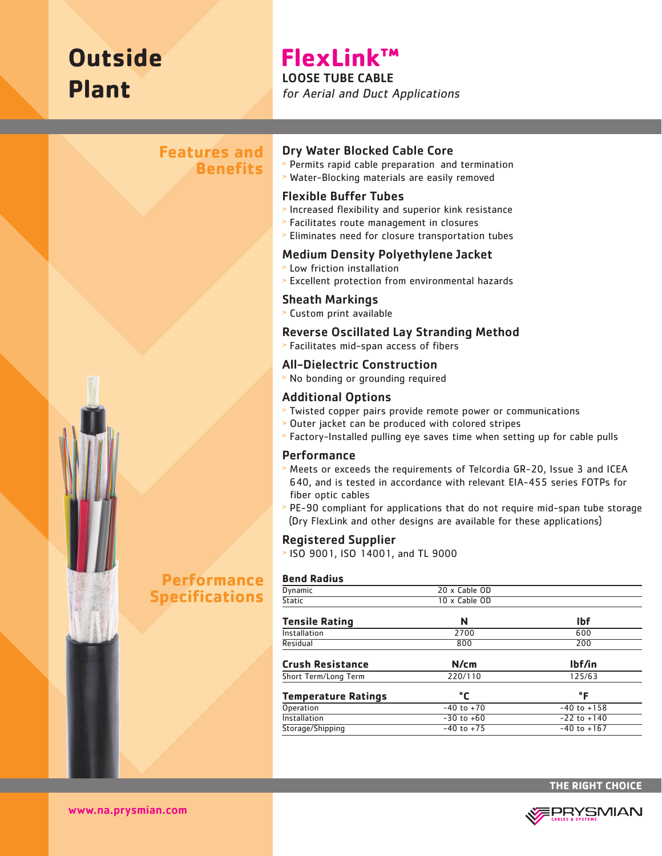# **Outside Plant**

# **FlexLink™** LOOSE TUBE CABLE

for Aerial and Duct Applications

# **Features and Benefits**



#### Dry Water Blocked Cable Core

- <sup>&</sup>gt; Permits rapid cable preparation and termination
- <sup>&</sup>gt; Water-Blocking materials are easily removed

#### Flexible Buffer Tubes

- <sup>&</sup>gt; Increased flexibility and superior kink resistance
- <sup>&</sup>gt; Facilitates route management in closures
- <sup>&</sup>gt; Eliminates need for closure transportation tubes

#### Medium Density Polyethylene Jacket

- <sup>&</sup>gt; Low friction installation
- <sup>&</sup>gt; Excellent protection from environmental hazards

#### Sheath Markings

<sup>&</sup>gt; Custom print available

#### Reverse Oscillated Lay Stranding Method

<sup>&</sup>gt; Facilitates mid-span access of fibers

### All-Dielectric Construction

<sup>&</sup>gt; No bonding or grounding required

### Additional Options

- <sup>&</sup>gt; Twisted copper pairs provide remote power or communications
- <sup>&</sup>gt; Outer jacket can be produced with colored stripes
- <sup>&</sup>gt; Factory-Installed pulling eye saves time when setting up for cable pulls

#### **Performance**

- <sup>&</sup>gt; Meets or exceeds the requirements of Telcordia GR-20, Issue 3 and ICEA 640, and is tested in accordance with relevant EIA-455 series FOTPs for fiber optic cables
- <sup>&</sup>gt; PE-90 compliant for applications that do not require mid-span tube storage (Dry FlexLink and other designs are available for these applications)

#### Registered Supplier

<sup>&</sup>gt; ISO 9001, ISO 14001, and TL 9000

#### **Bend Radius**

| Dynamic                    | 20 x Cable OD  |                 |
|----------------------------|----------------|-----------------|
| <b>Static</b>              | 10 x Cable OD  |                 |
| <b>Tensile Rating</b>      | N              | <b>Ibf</b>      |
| Installation               | 2700           | 600             |
| Residual                   | 800            | 200             |
| <b>Crush Resistance</b>    | N/cm           | lbf/in          |
| Short Term/Long Term       | 220/110        | 125/63          |
| <b>Temperature Ratings</b> | °C             | °F              |
| Operation                  | $-40$ to $+70$ | $-40$ to $+158$ |
| Installation               | $-30$ to $+60$ | $-22$ to $+140$ |
| Storage/Shipping           | $-40$ to $+75$ | $-40$ to $+167$ |
|                            |                |                 |